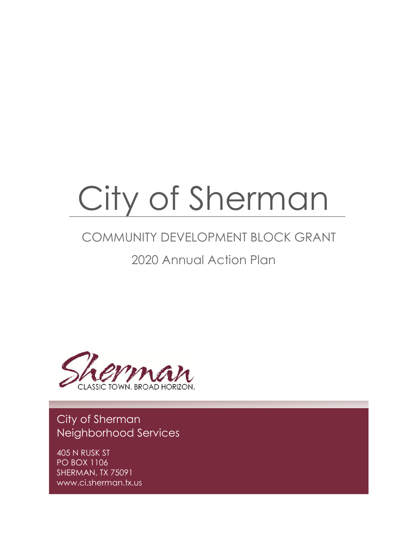# City of Sherman

## COMMUNITY DEVELOPMENT BLOCK GRANT

## 2020 Annual Action Plan



## City of Sherman Neighborhood Services

405 N RUSK ST PO BOX 1106 SHERMAN, TX 75091 www.ci.sherman.tx.us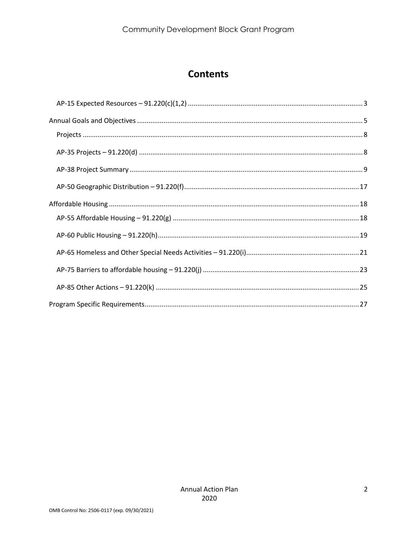## **Contents**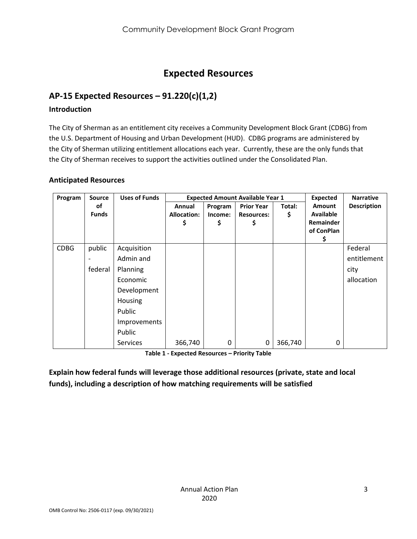## **Expected Resources**

#### <span id="page-2-0"></span>**AP-15 Expected Resources – 91.220(c)(1,2)**

#### **Introduction**

The City of Sherman as an entitlement city receives a Community Development Block Grant (CDBG) from the U.S. Department of Housing and Urban Development (HUD). CDBG programs are administered by the City of Sherman utilizing entitlement allocations each year. Currently, these are the only funds that the City of Sherman receives to support the activities outlined under the Consolidated Plan.

#### **Anticipated Resources**

| Program     | <b>Source</b>      | <b>Uses of Funds</b> |                              | <b>Expected Amount Available Year 1</b> |                                        |              | <b>Expected</b>                   | <b>Narrative</b>   |
|-------------|--------------------|----------------------|------------------------------|-----------------------------------------|----------------------------------------|--------------|-----------------------------------|--------------------|
|             | οf<br><b>Funds</b> |                      | Annual<br><b>Allocation:</b> | Program<br>Income:                      | <b>Prior Year</b><br><b>Resources:</b> | Total:<br>\$ | <b>Amount</b><br><b>Available</b> | <b>Description</b> |
|             |                    |                      | \$                           | Ş                                       | Ş                                      |              | <b>Remainder</b>                  |                    |
|             |                    |                      |                              |                                         |                                        |              | of ConPlan                        |                    |
|             |                    |                      |                              |                                         |                                        |              | Ş                                 |                    |
| <b>CDBG</b> | public             | Acquisition          |                              |                                         |                                        |              |                                   | Federal            |
|             |                    | Admin and            |                              |                                         |                                        |              |                                   | entitlement        |
|             | federal            | Planning             |                              |                                         |                                        |              |                                   | city               |
|             |                    | Economic             |                              |                                         |                                        |              |                                   | allocation         |
|             |                    | Development          |                              |                                         |                                        |              |                                   |                    |
|             |                    | Housing              |                              |                                         |                                        |              |                                   |                    |
|             |                    | Public               |                              |                                         |                                        |              |                                   |                    |
|             |                    | Improvements         |                              |                                         |                                        |              |                                   |                    |
|             |                    | Public               |                              |                                         |                                        |              |                                   |                    |
|             |                    | <b>Services</b>      | 366,740                      | 0                                       | 0                                      | 366,740      | 0                                 |                    |

**Table 1 - Expected Resources – Priority Table**

**Explain how federal funds will leverage those additional resources (private, state and local funds), including a description of how matching requirements will be satisfied**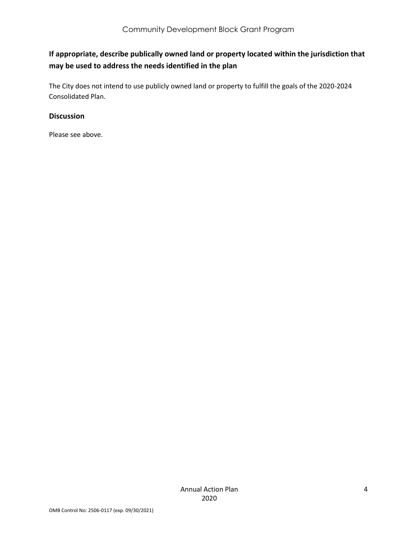#### **If appropriate, describe publically owned land or property located within the jurisdiction that may be used to address the needs identified in the plan**

The City does not intend to use publicly owned land or property to fulfill the goals of the 2020-2024 Consolidated Plan.

#### **Discussion**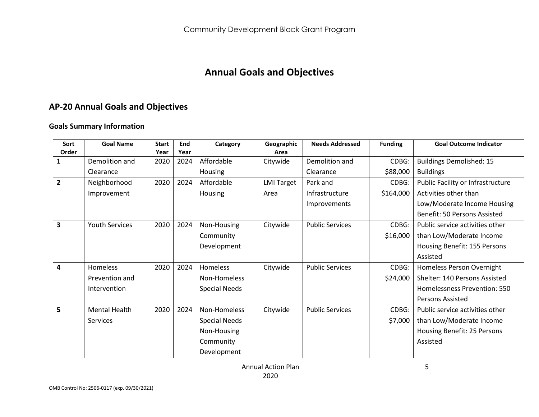## **Annual Goals and Objectives**

## **AP-20 Annual Goals and Objectives**

#### **Goals Summary Information**

<span id="page-4-0"></span>

| Sort<br>Order  | <b>Goal Name</b>      | <b>Start</b><br>Year | End<br>Year | Category             | Geographic<br>Area | <b>Needs Addressed</b> | <b>Funding</b> | <b>Goal Outcome Indicator</b>     |
|----------------|-----------------------|----------------------|-------------|----------------------|--------------------|------------------------|----------------|-----------------------------------|
|                | Demolition and        | 2020                 | 2024        | Affordable           | Citywide           | Demolition and         | CDBG:          | <b>Buildings Demolished: 15</b>   |
|                | Clearance             |                      |             | Housing              |                    | Clearance              | \$88,000       | <b>Buildings</b>                  |
| $\overline{2}$ | Neighborhood          | 2020                 | 2024        | Affordable           | <b>LMI Target</b>  | Park and               | CDBG:          | Public Facility or Infrastructure |
|                | Improvement           |                      |             |                      | Area               | Infrastructure         | \$164,000      | Activities other than             |
|                |                       |                      |             | Housing              |                    |                        |                |                                   |
|                |                       |                      |             |                      |                    | Improvements           |                | Low/Moderate Income Housing       |
|                |                       |                      |             |                      |                    |                        |                | Benefit: 50 Persons Assisted      |
| 3              | <b>Youth Services</b> | 2020                 | 2024        | Non-Housing          | Citywide           | <b>Public Services</b> | CDBG:          | Public service activities other   |
|                |                       |                      |             | Community            |                    |                        | \$16,000       | than Low/Moderate Income          |
|                |                       |                      |             | Development          |                    |                        |                | Housing Benefit: 155 Persons      |
|                |                       |                      |             |                      |                    |                        |                | Assisted                          |
| 4              | <b>Homeless</b>       | 2020                 | 2024        | <b>Homeless</b>      | Citywide           | <b>Public Services</b> | CDBG:          | Homeless Person Overnight         |
|                | Prevention and        |                      |             | Non-Homeless         |                    |                        | \$24,000       | Shelter: 140 Persons Assisted     |
|                | Intervention          |                      |             | <b>Special Needs</b> |                    |                        |                | Homelessness Prevention: 550      |
|                |                       |                      |             |                      |                    |                        |                | <b>Persons Assisted</b>           |
| 5              | Mental Health         | 2020                 | 2024        | Non-Homeless         | Citywide           | <b>Public Services</b> | CDBG:          | Public service activities other   |
|                | <b>Services</b>       |                      |             | <b>Special Needs</b> |                    |                        | \$7,000        | than Low/Moderate Income          |
|                |                       |                      |             | Non-Housing          |                    |                        |                | Housing Benefit: 25 Persons       |
|                |                       |                      |             | Community            |                    |                        |                | Assisted                          |
|                |                       |                      |             | Development          |                    |                        |                |                                   |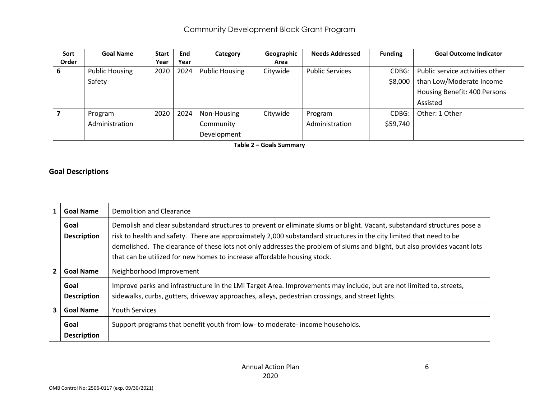| Sort  | <b>Goal Name</b>      | <b>Start</b> | End  | Category              | Geographic | <b>Needs Addressed</b> | <b>Funding</b> | <b>Goal Outcome Indicator</b>   |
|-------|-----------------------|--------------|------|-----------------------|------------|------------------------|----------------|---------------------------------|
| Order |                       | Year         | Year |                       | Area       |                        |                |                                 |
| 6     | <b>Public Housing</b> | 2020         | 2024 | <b>Public Housing</b> | Citywide   | <b>Public Services</b> | CDBG:          | Public service activities other |
|       | Safety                |              |      |                       |            |                        | \$8,000        | than Low/Moderate Income        |
|       |                       |              |      |                       |            |                        |                | Housing Benefit: 400 Persons    |
|       |                       |              |      |                       |            |                        |                | Assisted                        |
|       | Program               | 2020         | 2024 | Non-Housing           | Citywide   | Program                | CDBG:          | Other: 1 Other                  |
|       | Administration        |              |      | Community             |            | Administration         | \$59,740       |                                 |
|       |                       |              |      | Development           |            |                        |                |                                 |

**Table 2 – Goals Summary**

#### **Goal Descriptions**

| $\mathbf{1}$            | <b>Goal Name</b>           | Demolition and Clearance                                                                                                                                                                                                                                                                                                                                                                                                                                 |
|-------------------------|----------------------------|----------------------------------------------------------------------------------------------------------------------------------------------------------------------------------------------------------------------------------------------------------------------------------------------------------------------------------------------------------------------------------------------------------------------------------------------------------|
|                         | Goal<br><b>Description</b> | Demolish and clear substandard structures to prevent or eliminate slums or blight. Vacant, substandard structures pose a<br>risk to health and safety. There are approximately 2,000 substandard structures in the city limited that need to be<br>demolished. The clearance of these lots not only addresses the problem of slums and blight, but also provides vacant lots<br>that can be utilized for new homes to increase affordable housing stock. |
| $\mathbf{2}$            | <b>Goal Name</b>           | Neighborhood Improvement                                                                                                                                                                                                                                                                                                                                                                                                                                 |
|                         | Goal<br><b>Description</b> | Improve parks and infrastructure in the LMI Target Area. Improvements may include, but are not limited to, streets,<br>sidewalks, curbs, gutters, driveway approaches, alleys, pedestrian crossings, and street lights.                                                                                                                                                                                                                                  |
| $\overline{\mathbf{3}}$ | <b>Goal Name</b>           | <b>Youth Services</b>                                                                                                                                                                                                                                                                                                                                                                                                                                    |
|                         | Goal<br><b>Description</b> | Support programs that benefit youth from low- to moderate-income households.                                                                                                                                                                                                                                                                                                                                                                             |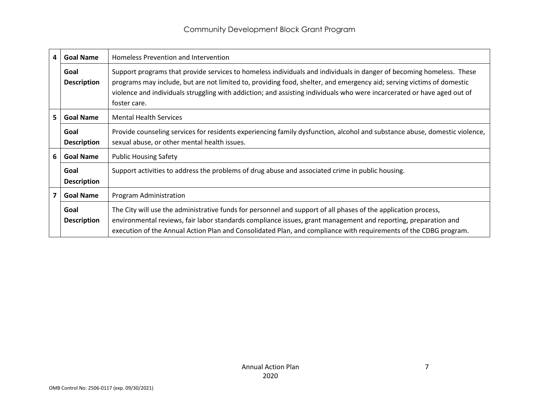| 4 | <b>Goal Name</b>           | Homeless Prevention and Intervention                                                                                                                                                                                                                                                                                                                                                     |
|---|----------------------------|------------------------------------------------------------------------------------------------------------------------------------------------------------------------------------------------------------------------------------------------------------------------------------------------------------------------------------------------------------------------------------------|
|   | Goal<br><b>Description</b> | Support programs that provide services to homeless individuals and individuals in danger of becoming homeless. These<br>programs may include, but are not limited to, providing food, shelter, and emergency aid; serving victims of domestic<br>violence and individuals struggling with addiction; and assisting individuals who were incarcerated or have aged out of<br>foster care. |
| 5 | <b>Goal Name</b>           | <b>Mental Health Services</b>                                                                                                                                                                                                                                                                                                                                                            |
|   | Goal<br><b>Description</b> | Provide counseling services for residents experiencing family dysfunction, alcohol and substance abuse, domestic violence,<br>sexual abuse, or other mental health issues.                                                                                                                                                                                                               |
| 6 | <b>Goal Name</b>           | <b>Public Housing Safety</b>                                                                                                                                                                                                                                                                                                                                                             |
|   | Goal<br><b>Description</b> | Support activities to address the problems of drug abuse and associated crime in public housing.                                                                                                                                                                                                                                                                                         |
| 7 | <b>Goal Name</b>           | Program Administration                                                                                                                                                                                                                                                                                                                                                                   |
|   | Goal<br><b>Description</b> | The City will use the administrative funds for personnel and support of all phases of the application process,<br>environmental reviews, fair labor standards compliance issues, grant management and reporting, preparation and<br>execution of the Annual Action Plan and Consolidated Plan, and compliance with requirements of the CDBG program.                                     |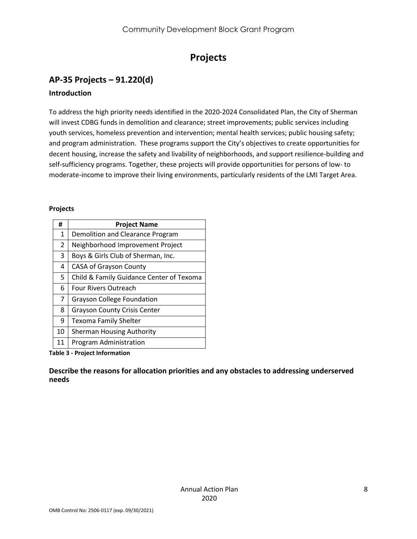## **Projects**

## <span id="page-7-1"></span><span id="page-7-0"></span>**AP-35 Projects – 91.220(d)**

#### **Introduction**

To address the high priority needs identified in the 2020-2024 Consolidated Plan, the City of Sherman will invest CDBG funds in demolition and clearance; street improvements; public services including youth services, homeless prevention and intervention; mental health services; public housing safety; and program administration. These programs support the City's objectives to create opportunities for decent housing, increase the safety and livability of neighborhoods, and support resilience-building and self-sufficiency programs. Together, these projects will provide opportunities for persons of low- to moderate-income to improve their living environments, particularly residents of the LMI Target Area.

#### **Projects**

| #              | <b>Project Name</b>                      |
|----------------|------------------------------------------|
| $\mathbf{1}$   | Demolition and Clearance Program         |
| $\overline{2}$ | Neighborhood Improvement Project         |
| 3              | Boys & Girls Club of Sherman, Inc.       |
| 4              | <b>CASA of Grayson County</b>            |
| 5              | Child & Family Guidance Center of Texoma |
| 6              | <b>Four Rivers Outreach</b>              |
| $\overline{7}$ | <b>Grayson College Foundation</b>        |
| 8              | <b>Grayson County Crisis Center</b>      |
| 9              | <b>Texoma Family Shelter</b>             |
| 10             | <b>Sherman Housing Authority</b>         |
| 11             | Program Administration                   |

**Table 3 - Project Information**

**Describe the reasons for allocation priorities and any obstacles to addressing underserved needs**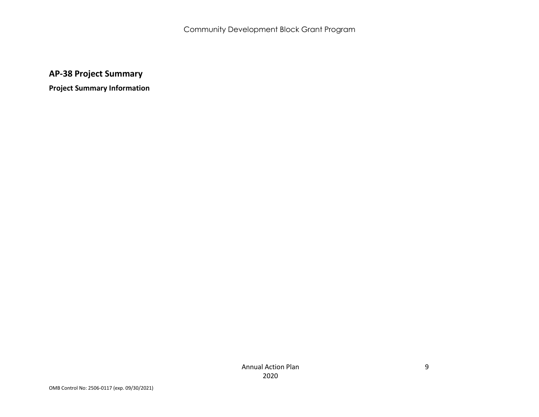**AP-38 Project Summary**

<span id="page-8-0"></span>**Project Summary Information**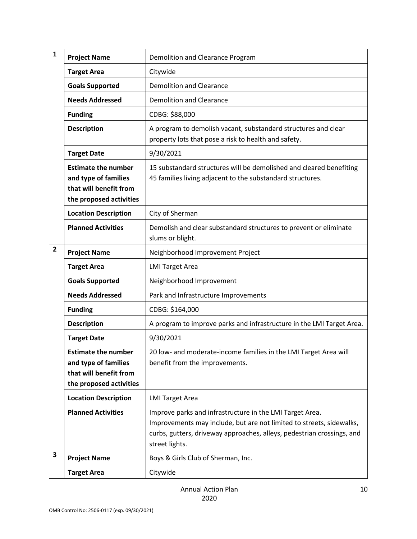| 1 | <b>Project Name</b>                                                                                     | Demolition and Clearance Program                                                                                                                                                                                             |
|---|---------------------------------------------------------------------------------------------------------|------------------------------------------------------------------------------------------------------------------------------------------------------------------------------------------------------------------------------|
|   | <b>Target Area</b>                                                                                      | Citywide                                                                                                                                                                                                                     |
|   | <b>Goals Supported</b>                                                                                  | <b>Demolition and Clearance</b>                                                                                                                                                                                              |
|   | <b>Needs Addressed</b>                                                                                  | <b>Demolition and Clearance</b>                                                                                                                                                                                              |
|   | <b>Funding</b>                                                                                          | CDBG: \$88,000                                                                                                                                                                                                               |
|   | <b>Description</b>                                                                                      | A program to demolish vacant, substandard structures and clear<br>property lots that pose a risk to health and safety.                                                                                                       |
|   | <b>Target Date</b>                                                                                      | 9/30/2021                                                                                                                                                                                                                    |
|   | <b>Estimate the number</b><br>and type of families<br>that will benefit from<br>the proposed activities | 15 substandard structures will be demolished and cleared benefiting<br>45 families living adjacent to the substandard structures.                                                                                            |
|   | <b>Location Description</b>                                                                             | City of Sherman                                                                                                                                                                                                              |
|   | <b>Planned Activities</b>                                                                               | Demolish and clear substandard structures to prevent or eliminate<br>slums or blight.                                                                                                                                        |
| 2 | <b>Project Name</b>                                                                                     | Neighborhood Improvement Project                                                                                                                                                                                             |
|   | <b>Target Area</b>                                                                                      | <b>LMI Target Area</b>                                                                                                                                                                                                       |
|   | <b>Goals Supported</b>                                                                                  | Neighborhood Improvement                                                                                                                                                                                                     |
|   | <b>Needs Addressed</b>                                                                                  | Park and Infrastructure Improvements                                                                                                                                                                                         |
|   | <b>Funding</b>                                                                                          | CDBG: \$164,000                                                                                                                                                                                                              |
|   | <b>Description</b>                                                                                      | A program to improve parks and infrastructure in the LMI Target Area.                                                                                                                                                        |
|   | <b>Target Date</b>                                                                                      | 9/30/2021                                                                                                                                                                                                                    |
|   | <b>Estimate the number</b><br>and type of families<br>that will benefit from<br>the proposed activities | 20 low- and moderate-income families in the LMI Target Area will<br>benefit from the improvements.                                                                                                                           |
|   | <b>Location Description</b>                                                                             | <b>LMI Target Area</b>                                                                                                                                                                                                       |
|   | <b>Planned Activities</b>                                                                               | Improve parks and infrastructure in the LMI Target Area.<br>Improvements may include, but are not limited to streets, sidewalks,<br>curbs, gutters, driveway approaches, alleys, pedestrian crossings, and<br>street lights. |
| 3 | <b>Project Name</b>                                                                                     | Boys & Girls Club of Sherman, Inc.                                                                                                                                                                                           |
|   | <b>Target Area</b>                                                                                      | Citywide                                                                                                                                                                                                                     |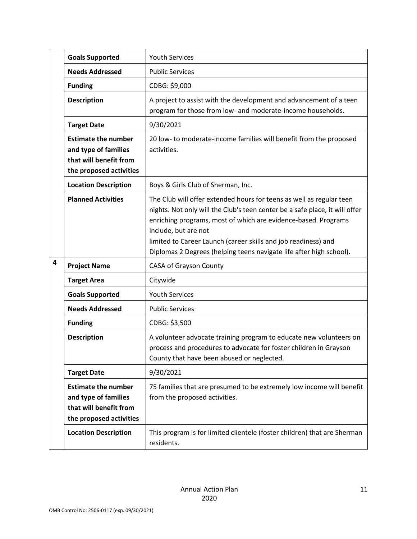|   | <b>Goals Supported</b>                                                                                  | <b>Youth Services</b>                                                                                                                                                                                                                                                                                                                                                                  |
|---|---------------------------------------------------------------------------------------------------------|----------------------------------------------------------------------------------------------------------------------------------------------------------------------------------------------------------------------------------------------------------------------------------------------------------------------------------------------------------------------------------------|
|   | <b>Needs Addressed</b>                                                                                  | <b>Public Services</b>                                                                                                                                                                                                                                                                                                                                                                 |
|   | <b>Funding</b>                                                                                          | CDBG: \$9,000                                                                                                                                                                                                                                                                                                                                                                          |
|   | <b>Description</b>                                                                                      | A project to assist with the development and advancement of a teen<br>program for those from low- and moderate-income households.                                                                                                                                                                                                                                                      |
|   | <b>Target Date</b>                                                                                      | 9/30/2021                                                                                                                                                                                                                                                                                                                                                                              |
|   | <b>Estimate the number</b><br>and type of families<br>that will benefit from<br>the proposed activities | 20 low- to moderate-income families will benefit from the proposed<br>activities.                                                                                                                                                                                                                                                                                                      |
|   | <b>Location Description</b>                                                                             | Boys & Girls Club of Sherman, Inc.                                                                                                                                                                                                                                                                                                                                                     |
|   | <b>Planned Activities</b>                                                                               | The Club will offer extended hours for teens as well as regular teen<br>nights. Not only will the Club's teen center be a safe place, it will offer<br>enriching programs, most of which are evidence-based. Programs<br>include, but are not<br>limited to Career Launch (career skills and job readiness) and<br>Diplomas 2 Degrees (helping teens navigate life after high school). |
| 4 | <b>Project Name</b>                                                                                     | CASA of Grayson County                                                                                                                                                                                                                                                                                                                                                                 |
|   | <b>Target Area</b>                                                                                      | Citywide                                                                                                                                                                                                                                                                                                                                                                               |
|   | <b>Goals Supported</b>                                                                                  | <b>Youth Services</b>                                                                                                                                                                                                                                                                                                                                                                  |
|   | <b>Needs Addressed</b>                                                                                  | <b>Public Services</b>                                                                                                                                                                                                                                                                                                                                                                 |
|   | <b>Funding</b>                                                                                          | CDBG: \$3,500                                                                                                                                                                                                                                                                                                                                                                          |
|   | <b>Description</b>                                                                                      | A volunteer advocate training program to educate new volunteers on<br>process and procedures to advocate for foster children in Grayson<br>County that have been abused or neglected.                                                                                                                                                                                                  |
|   | <b>Target Date</b>                                                                                      | 9/30/2021                                                                                                                                                                                                                                                                                                                                                                              |
|   | <b>Estimate the number</b><br>and type of families<br>that will benefit from<br>the proposed activities | 75 families that are presumed to be extremely low income will benefit<br>from the proposed activities.                                                                                                                                                                                                                                                                                 |
|   | <b>Location Description</b>                                                                             | This program is for limited clientele (foster children) that are Sherman<br>residents.                                                                                                                                                                                                                                                                                                 |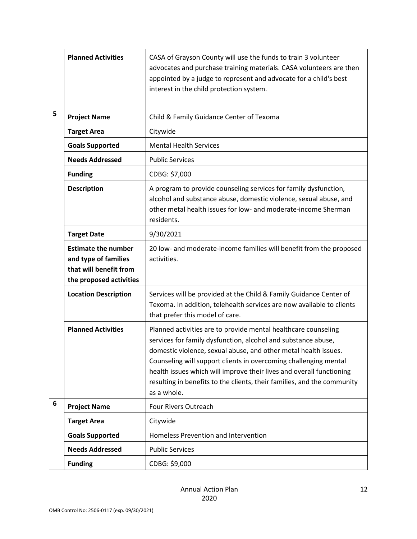|   | <b>Planned Activities</b>                                                                               | CASA of Grayson County will use the funds to train 3 volunteer<br>advocates and purchase training materials. CASA volunteers are then<br>appointed by a judge to represent and advocate for a child's best<br>interest in the child protection system.                                                                                                                                                                                   |
|---|---------------------------------------------------------------------------------------------------------|------------------------------------------------------------------------------------------------------------------------------------------------------------------------------------------------------------------------------------------------------------------------------------------------------------------------------------------------------------------------------------------------------------------------------------------|
| 5 | <b>Project Name</b>                                                                                     | Child & Family Guidance Center of Texoma                                                                                                                                                                                                                                                                                                                                                                                                 |
|   | <b>Target Area</b>                                                                                      | Citywide                                                                                                                                                                                                                                                                                                                                                                                                                                 |
|   | <b>Goals Supported</b>                                                                                  | <b>Mental Health Services</b>                                                                                                                                                                                                                                                                                                                                                                                                            |
|   | <b>Needs Addressed</b>                                                                                  | <b>Public Services</b>                                                                                                                                                                                                                                                                                                                                                                                                                   |
|   | <b>Funding</b>                                                                                          | CDBG: \$7,000                                                                                                                                                                                                                                                                                                                                                                                                                            |
|   | <b>Description</b>                                                                                      | A program to provide counseling services for family dysfunction,<br>alcohol and substance abuse, domestic violence, sexual abuse, and<br>other metal health issues for low- and moderate-income Sherman<br>residents.                                                                                                                                                                                                                    |
|   | <b>Target Date</b>                                                                                      | 9/30/2021                                                                                                                                                                                                                                                                                                                                                                                                                                |
|   | <b>Estimate the number</b><br>and type of families<br>that will benefit from<br>the proposed activities | 20 low- and moderate-income families will benefit from the proposed<br>activities.                                                                                                                                                                                                                                                                                                                                                       |
|   | <b>Location Description</b>                                                                             | Services will be provided at the Child & Family Guidance Center of<br>Texoma. In addition, telehealth services are now available to clients<br>that prefer this model of care.                                                                                                                                                                                                                                                           |
|   | <b>Planned Activities</b>                                                                               | Planned activities are to provide mental healthcare counseling<br>services for family dysfunction, alcohol and substance abuse,<br>domestic violence, sexual abuse, and other metal health issues.<br>Counseling will support clients in overcoming challenging mental<br>health issues which will improve their lives and overall functioning<br>resulting in benefits to the clients, their families, and the community<br>as a whole. |
| 6 | <b>Project Name</b>                                                                                     | Four Rivers Outreach                                                                                                                                                                                                                                                                                                                                                                                                                     |
|   | <b>Target Area</b>                                                                                      | Citywide                                                                                                                                                                                                                                                                                                                                                                                                                                 |
|   | <b>Goals Supported</b>                                                                                  | Homeless Prevention and Intervention                                                                                                                                                                                                                                                                                                                                                                                                     |
|   | <b>Needs Addressed</b>                                                                                  | <b>Public Services</b>                                                                                                                                                                                                                                                                                                                                                                                                                   |
|   | <b>Funding</b>                                                                                          | CDBG: \$9,000                                                                                                                                                                                                                                                                                                                                                                                                                            |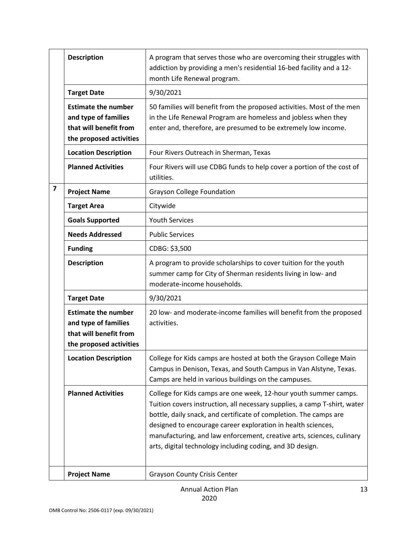|   | <b>Description</b>                                                                                      | A program that serves those who are overcoming their struggles with<br>addiction by providing a men's residential 16-bed facility and a 12-<br>month Life Renewal program.                                                                                                                                                                                                                                               |
|---|---------------------------------------------------------------------------------------------------------|--------------------------------------------------------------------------------------------------------------------------------------------------------------------------------------------------------------------------------------------------------------------------------------------------------------------------------------------------------------------------------------------------------------------------|
|   | <b>Target Date</b>                                                                                      | 9/30/2021                                                                                                                                                                                                                                                                                                                                                                                                                |
|   | <b>Estimate the number</b><br>and type of families<br>that will benefit from<br>the proposed activities | 50 families will benefit from the proposed activities. Most of the men<br>in the Life Renewal Program are homeless and jobless when they<br>enter and, therefore, are presumed to be extremely low income.                                                                                                                                                                                                               |
|   | <b>Location Description</b>                                                                             | Four Rivers Outreach in Sherman, Texas                                                                                                                                                                                                                                                                                                                                                                                   |
|   | <b>Planned Activities</b>                                                                               | Four Rivers will use CDBG funds to help cover a portion of the cost of<br>utilities.                                                                                                                                                                                                                                                                                                                                     |
| 7 | <b>Project Name</b>                                                                                     | <b>Grayson College Foundation</b>                                                                                                                                                                                                                                                                                                                                                                                        |
|   | <b>Target Area</b>                                                                                      | Citywide                                                                                                                                                                                                                                                                                                                                                                                                                 |
|   | <b>Goals Supported</b>                                                                                  | <b>Youth Services</b>                                                                                                                                                                                                                                                                                                                                                                                                    |
|   | <b>Needs Addressed</b>                                                                                  | <b>Public Services</b>                                                                                                                                                                                                                                                                                                                                                                                                   |
|   | <b>Funding</b>                                                                                          | CDBG: \$3,500                                                                                                                                                                                                                                                                                                                                                                                                            |
|   | <b>Description</b>                                                                                      | A program to provide scholarships to cover tuition for the youth<br>summer camp for City of Sherman residents living in low- and<br>moderate-income households.                                                                                                                                                                                                                                                          |
|   | <b>Target Date</b>                                                                                      | 9/30/2021                                                                                                                                                                                                                                                                                                                                                                                                                |
|   | <b>Estimate the number</b><br>and type of families<br>that will benefit from<br>the proposed activities | 20 low- and moderate-income families will benefit from the proposed<br>activities.                                                                                                                                                                                                                                                                                                                                       |
|   | <b>Location Description</b>                                                                             | College for Kids camps are hosted at both the Grayson College Main<br>Campus in Denison, Texas, and South Campus in Van Alstyne, Texas.<br>Camps are held in various buildings on the campuses.                                                                                                                                                                                                                          |
|   | <b>Planned Activities</b>                                                                               | College for Kids camps are one week, 12-hour youth summer camps.<br>Tuition covers instruction, all necessary supplies, a camp T-shirt, water<br>bottle, daily snack, and certificate of completion. The camps are<br>designed to encourage career exploration in health sciences,<br>manufacturing, and law enforcement, creative arts, sciences, culinary<br>arts, digital technology including coding, and 3D design. |
|   | <b>Project Name</b>                                                                                     | <b>Grayson County Crisis Center</b>                                                                                                                                                                                                                                                                                                                                                                                      |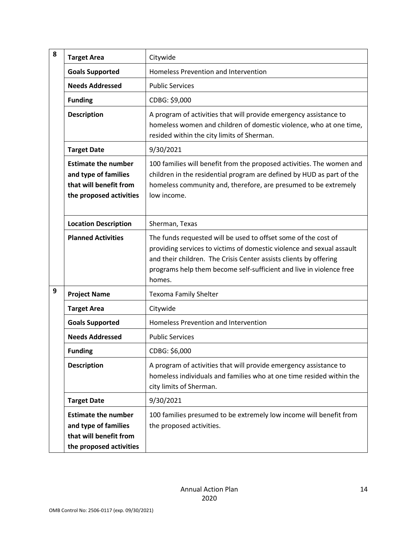| 8 | <b>Target Area</b>                                                                                      | Citywide                                                                                                                                                                                                                                                                                      |
|---|---------------------------------------------------------------------------------------------------------|-----------------------------------------------------------------------------------------------------------------------------------------------------------------------------------------------------------------------------------------------------------------------------------------------|
|   | <b>Goals Supported</b>                                                                                  | Homeless Prevention and Intervention                                                                                                                                                                                                                                                          |
|   | <b>Needs Addressed</b>                                                                                  | <b>Public Services</b>                                                                                                                                                                                                                                                                        |
|   | <b>Funding</b>                                                                                          | CDBG: \$9,000                                                                                                                                                                                                                                                                                 |
|   | <b>Description</b>                                                                                      | A program of activities that will provide emergency assistance to<br>homeless women and children of domestic violence, who at one time,<br>resided within the city limits of Sherman.                                                                                                         |
|   | <b>Target Date</b>                                                                                      | 9/30/2021                                                                                                                                                                                                                                                                                     |
|   | <b>Estimate the number</b><br>and type of families<br>that will benefit from<br>the proposed activities | 100 families will benefit from the proposed activities. The women and<br>children in the residential program are defined by HUD as part of the<br>homeless community and, therefore, are presumed to be extremely<br>low income.                                                              |
|   | <b>Location Description</b>                                                                             | Sherman, Texas                                                                                                                                                                                                                                                                                |
|   | <b>Planned Activities</b>                                                                               | The funds requested will be used to offset some of the cost of<br>providing services to victims of domestic violence and sexual assault<br>and their children. The Crisis Center assists clients by offering<br>programs help them become self-sufficient and live in violence free<br>homes. |
| 9 | <b>Project Name</b>                                                                                     | <b>Texoma Family Shelter</b>                                                                                                                                                                                                                                                                  |
|   | <b>Target Area</b>                                                                                      | Citywide                                                                                                                                                                                                                                                                                      |
|   | <b>Goals Supported</b>                                                                                  | Homeless Prevention and Intervention                                                                                                                                                                                                                                                          |
|   | <b>Needs Addressed</b>                                                                                  | <b>Public Services</b>                                                                                                                                                                                                                                                                        |
|   | <b>Funding</b>                                                                                          | CDBG: \$6,000                                                                                                                                                                                                                                                                                 |
|   | <b>Description</b>                                                                                      | A program of activities that will provide emergency assistance to<br>homeless individuals and families who at one time resided within the<br>city limits of Sherman.                                                                                                                          |
|   | <b>Target Date</b>                                                                                      | 9/30/2021                                                                                                                                                                                                                                                                                     |
|   | <b>Estimate the number</b><br>and type of families<br>that will benefit from<br>the proposed activities | 100 families presumed to be extremely low income will benefit from<br>the proposed activities.                                                                                                                                                                                                |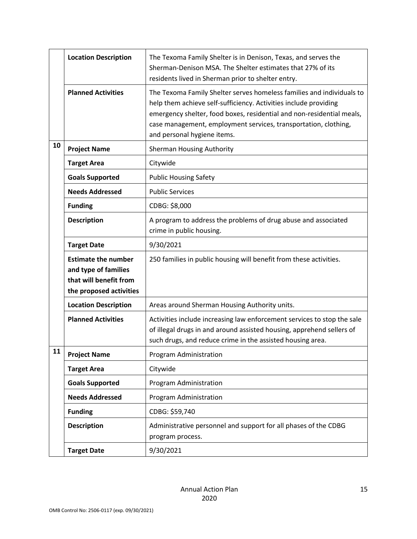|    | <b>Location Description</b>                                                                             | The Texoma Family Shelter is in Denison, Texas, and serves the<br>Sherman-Denison MSA. The Shelter estimates that 27% of its<br>residents lived in Sherman prior to shelter entry.                                                                                                                                   |
|----|---------------------------------------------------------------------------------------------------------|----------------------------------------------------------------------------------------------------------------------------------------------------------------------------------------------------------------------------------------------------------------------------------------------------------------------|
|    | <b>Planned Activities</b>                                                                               | The Texoma Family Shelter serves homeless families and individuals to<br>help them achieve self-sufficiency. Activities include providing<br>emergency shelter, food boxes, residential and non-residential meals,<br>case management, employment services, transportation, clothing,<br>and personal hygiene items. |
| 10 | <b>Project Name</b>                                                                                     | <b>Sherman Housing Authority</b>                                                                                                                                                                                                                                                                                     |
|    | <b>Target Area</b>                                                                                      | Citywide                                                                                                                                                                                                                                                                                                             |
|    | <b>Goals Supported</b>                                                                                  | <b>Public Housing Safety</b>                                                                                                                                                                                                                                                                                         |
|    | <b>Needs Addressed</b>                                                                                  | <b>Public Services</b>                                                                                                                                                                                                                                                                                               |
|    | <b>Funding</b>                                                                                          | CDBG: \$8,000                                                                                                                                                                                                                                                                                                        |
|    | <b>Description</b>                                                                                      | A program to address the problems of drug abuse and associated<br>crime in public housing.                                                                                                                                                                                                                           |
|    | <b>Target Date</b>                                                                                      | 9/30/2021                                                                                                                                                                                                                                                                                                            |
|    | <b>Estimate the number</b><br>and type of families<br>that will benefit from<br>the proposed activities | 250 families in public housing will benefit from these activities.                                                                                                                                                                                                                                                   |
|    | <b>Location Description</b>                                                                             | Areas around Sherman Housing Authority units.                                                                                                                                                                                                                                                                        |
|    | <b>Planned Activities</b>                                                                               | Activities include increasing law enforcement services to stop the sale<br>of illegal drugs in and around assisted housing, apprehend sellers of<br>such drugs, and reduce crime in the assisted housing area.                                                                                                       |
| 11 | <b>Project Name</b>                                                                                     | Program Administration                                                                                                                                                                                                                                                                                               |
|    | <b>Target Area</b>                                                                                      | Citywide                                                                                                                                                                                                                                                                                                             |
|    | <b>Goals Supported</b>                                                                                  | Program Administration                                                                                                                                                                                                                                                                                               |
|    | <b>Needs Addressed</b>                                                                                  | Program Administration                                                                                                                                                                                                                                                                                               |
|    |                                                                                                         |                                                                                                                                                                                                                                                                                                                      |
|    | <b>Funding</b>                                                                                          | CDBG: \$59,740                                                                                                                                                                                                                                                                                                       |
|    | <b>Description</b>                                                                                      | Administrative personnel and support for all phases of the CDBG<br>program process.                                                                                                                                                                                                                                  |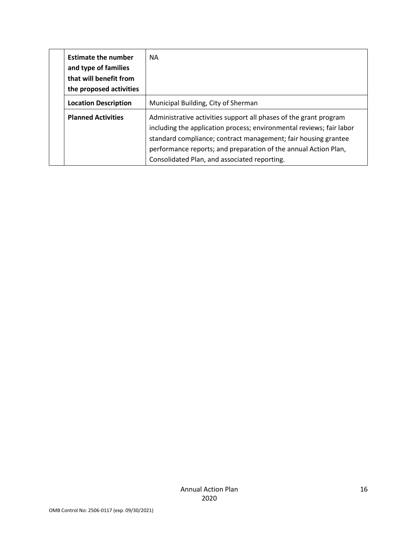| <b>Estimate the number</b><br>and type of families<br>that will benefit from<br>the proposed activities | <b>NA</b>                                                                                                                                                                                                                                                                                                                      |
|---------------------------------------------------------------------------------------------------------|--------------------------------------------------------------------------------------------------------------------------------------------------------------------------------------------------------------------------------------------------------------------------------------------------------------------------------|
| <b>Location Description</b>                                                                             | Municipal Building, City of Sherman                                                                                                                                                                                                                                                                                            |
| <b>Planned Activities</b>                                                                               | Administrative activities support all phases of the grant program<br>including the application process; environmental reviews; fair labor<br>standard compliance; contract management; fair housing grantee<br>performance reports; and preparation of the annual Action Plan,<br>Consolidated Plan, and associated reporting. |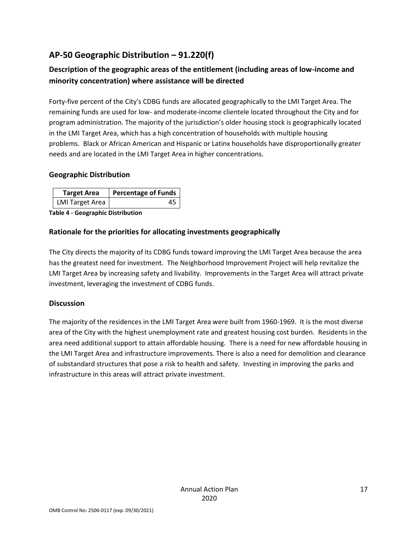## <span id="page-16-0"></span>**AP-50 Geographic Distribution – 91.220(f)**

#### **Description of the geographic areas of the entitlement (including areas of low-income and minority concentration) where assistance will be directed**

Forty-five percent of the City's CDBG funds are allocated geographically to the LMI Target Area. The remaining funds are used for low- and moderate-income clientele located throughout the City and for program administration. The majority of the jurisdiction's older housing stock is geographically located in the LMI Target Area, which has a high concentration of households with multiple housing problems. Black or African American and Hispanic or Latinx households have disproportionally greater needs and are located in the LMI Target Area in higher concentrations.

#### **Geographic Distribution**

| <b>Target Area</b>     | <b>Percentage of Funds</b> |
|------------------------|----------------------------|
| <b>LMI</b> Target Area |                            |

**Table 4 - Geographic Distribution** 

#### **Rationale for the priorities for allocating investments geographically**

The City directs the majority of its CDBG funds toward improving the LMI Target Area because the area has the greatest need for investment. The Neighborhood Improvement Project will help revitalize the LMI Target Area by increasing safety and livability. Improvements in the Target Area will attract private investment, leveraging the investment of CDBG funds.

#### **Discussion**

The majority of the residences in the LMI Target Area were built from 1960-1969. It is the most diverse area of the City with the highest unemployment rate and greatest housing cost burden. Residents in the area need additional support to attain affordable housing. There is a need for new affordable housing in the LMI Target Area and infrastructure improvements. There is also a need for demolition and clearance of substandard structures that pose a risk to health and safety. Investing in improving the parks and infrastructure in this areas will attract private investment.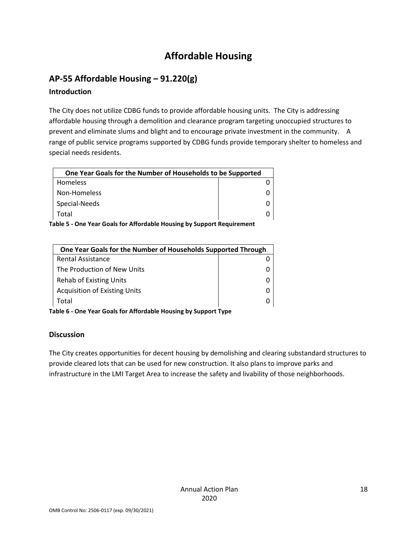## **Affordable Housing**

## <span id="page-17-1"></span><span id="page-17-0"></span>**AP-55 Affordable Housing – 91.220(g)**

#### **Introduction**

The City does not utilize CDBG funds to provide affordable housing units. The City is addressing affordable housing through a demolition and clearance program targeting unoccupied structures to prevent and eliminate slums and blight and to encourage private investment in the community. A range of public service programs supported by CDBG funds provide temporary shelter to homeless and special needs residents.

| One Year Goals for the Number of Households to be Supported |  |  |
|-------------------------------------------------------------|--|--|
| Homeless                                                    |  |  |
| Non-Homeless                                                |  |  |
| Special-Needs                                               |  |  |
| Total                                                       |  |  |

**Table 5 - One Year Goals for Affordable Housing by Support Requirement**

| One Year Goals for the Number of Households Supported Through |  |
|---------------------------------------------------------------|--|
| <b>Rental Assistance</b>                                      |  |
| The Production of New Units                                   |  |
| Rehab of Existing Units                                       |  |
| <b>Acquisition of Existing Units</b>                          |  |
| Total                                                         |  |

**Table 6 - One Year Goals for Affordable Housing by Support Type**

#### **Discussion**

The City creates opportunities for decent housing by demolishing and clearing substandard structures to provide cleared lots that can be used for new construction. It also plans to improve parks and infrastructure in the LMI Target Area to increase the safety and livability of those neighborhoods.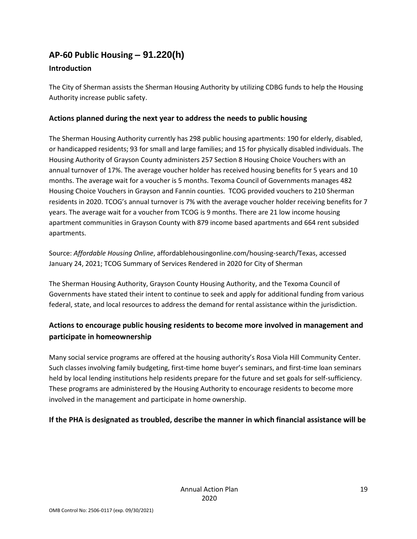## <span id="page-18-0"></span>**AP-60 Public Housing** *–* **91.220(h)**

#### **Introduction**

The City of Sherman assists the Sherman Housing Authority by utilizing CDBG funds to help the Housing Authority increase public safety.

#### **Actions planned during the next year to address the needs to public housing**

The Sherman Housing Authority currently has 298 public housing apartments: 190 for elderly, disabled, or handicapped residents; 93 for small and large families; and 15 for physically disabled individuals. The Housing Authority of Grayson County administers 257 Section 8 Housing Choice Vouchers with an annual turnover of 17%. The average voucher holder has received housing benefits for 5 years and 10 months. The average wait for a voucher is 5 months. Texoma Council of Governments manages 482 Housing Choice Vouchers in Grayson and Fannin counties. TCOG provided vouchers to 210 Sherman residents in 2020. TCOG's annual turnover is 7% with the average voucher holder receiving benefits for 7 years. The average wait for a voucher from TCOG is 9 months. There are 21 low income housing apartment communities in Grayson County with 879 income based apartments and 664 rent subsided apartments.

Source: *Affordable Housing Online*, affordablehousingonline.com/housing-search/Texas, accessed January 24, 2021; TCOG Summary of Services Rendered in 2020 for City of Sherman

The Sherman Housing Authority, Grayson County Housing Authority, and the Texoma Council of Governments have stated their intent to continue to seek and apply for additional funding from various federal, state, and local resources to address the demand for rental assistance within the jurisdiction.

#### **Actions to encourage public housing residents to become more involved in management and participate in homeownership**

Many social service programs are offered at the housing authority's Rosa Viola Hill Community Center. Such classes involving family budgeting, first-time home buyer's seminars, and first-time loan seminars held by local lending institutions help residents prepare for the future and set goals for self-sufficiency. These programs are administered by the Housing Authority to encourage residents to become more involved in the management and participate in home ownership.

#### **If the PHA is designated as troubled, describe the manner in which financial assistance will be**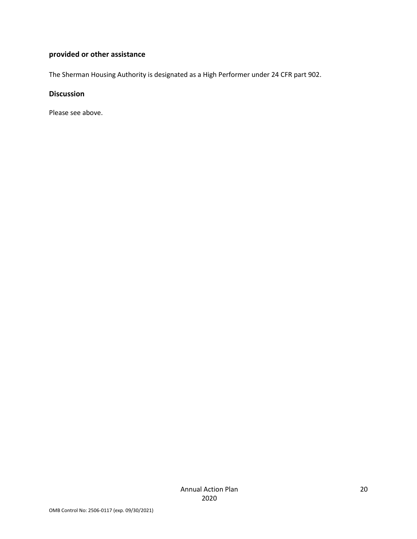#### **provided or other assistance**

The Sherman Housing Authority is designated as a High Performer under 24 CFR part 902.

#### **Discussion**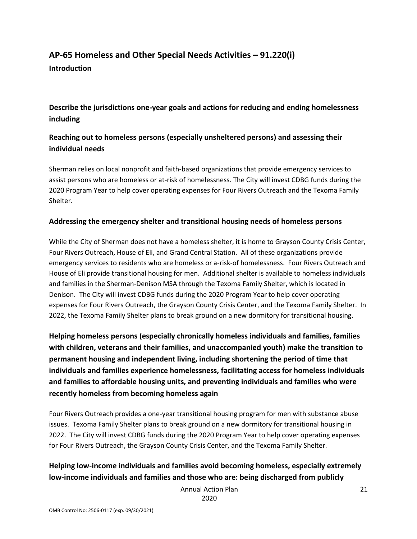#### <span id="page-20-0"></span>**AP-65 Homeless and Other Special Needs Activities – 91.220(i) Introduction**

**Describe the jurisdictions one-year goals and actions for reducing and ending homelessness including**

#### **Reaching out to homeless persons (especially unsheltered persons) and assessing their individual needs**

Sherman relies on local nonprofit and faith-based organizations that provide emergency services to assist persons who are homeless or at-risk of homelessness. The City will invest CDBG funds during the 2020 Program Year to help cover operating expenses for Four Rivers Outreach and the Texoma Family Shelter.

#### **Addressing the emergency shelter and transitional housing needs of homeless persons**

While the City of Sherman does not have a homeless shelter, it is home to Grayson County Crisis Center, Four Rivers Outreach, House of Eli, and Grand Central Station. All of these organizations provide emergency services to residents who are homeless or a-risk-of homelessness. Four Rivers Outreach and House of Eli provide transitional housing for men. Additional shelter is available to homeless individuals and families in the Sherman-Denison MSA through the Texoma Family Shelter, which is located in Denison. The City will invest CDBG funds during the 2020 Program Year to help cover operating expenses for Four Rivers Outreach, the Grayson County Crisis Center, and the Texoma Family Shelter. In 2022, the Texoma Family Shelter plans to break ground on a new dormitory for transitional housing.

**Helping homeless persons (especially chronically homeless individuals and families, families with children, veterans and their families, and unaccompanied youth) make the transition to permanent housing and independent living, including shortening the period of time that individuals and families experience homelessness, facilitating access for homeless individuals and families to affordable housing units, and preventing individuals and families who were recently homeless from becoming homeless again**

Four Rivers Outreach provides a one-year transitional housing program for men with substance abuse issues. Texoma Family Shelter plans to break ground on a new dormitory for transitional housing in 2022. The City will invest CDBG funds during the 2020 Program Year to help cover operating expenses for Four Rivers Outreach, the Grayson County Crisis Center, and the Texoma Family Shelter.

#### **Helping low-income individuals and families avoid becoming homeless, especially extremely low-income individuals and families and those who are: being discharged from publicly**

Annual Action Plan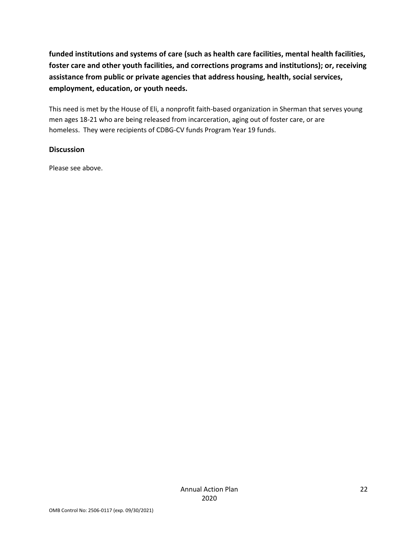**funded institutions and systems of care (such as health care facilities, mental health facilities, foster care and other youth facilities, and corrections programs and institutions); or, receiving assistance from public or private agencies that address housing, health, social services, employment, education, or youth needs.**

This need is met by the House of Eli, a nonprofit faith-based organization in Sherman that serves young men ages 18-21 who are being released from incarceration, aging out of foster care, or are homeless. They were recipients of CDBG-CV funds Program Year 19 funds.

#### **Discussion**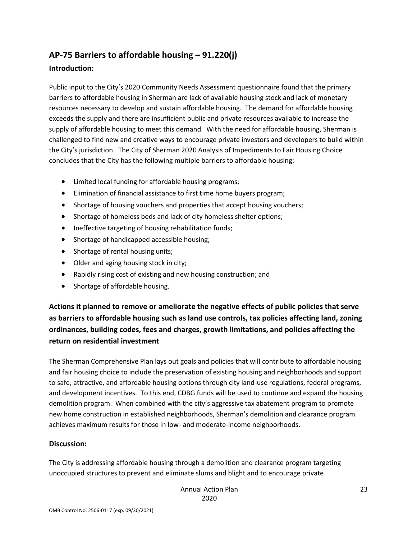#### <span id="page-22-0"></span>**AP-75 Barriers to affordable housing – 91.220(j)**

#### **Introduction:**

Public input to the City's 2020 Community Needs Assessment questionnaire found that the primary barriers to affordable housing in Sherman are lack of available housing stock and lack of monetary resources necessary to develop and sustain affordable housing. The demand for affordable housing exceeds the supply and there are insufficient public and private resources available to increase the supply of affordable housing to meet this demand. With the need for affordable housing, Sherman is challenged to find new and creative ways to encourage private investors and developers to build within the City's jurisdiction. The City of Sherman 2020 Analysis of Impediments to Fair Housing Choice concludes that the City has the following multiple barriers to affordable housing:

- Limited local funding for affordable housing programs;
- Elimination of financial assistance to first time home buyers program;
- Shortage of housing vouchers and properties that accept housing vouchers;
- Shortage of homeless beds and lack of city homeless shelter options;
- Ineffective targeting of housing rehabilitation funds;
- Shortage of handicapped accessible housing;
- Shortage of rental housing units;
- Older and aging housing stock in city;
- Rapidly rising cost of existing and new housing construction; and
- Shortage of affordable housing.

**Actions it planned to remove or ameliorate the negative effects of public policies that serve as barriers to affordable housing such as land use controls, tax policies affecting land, zoning ordinances, building codes, fees and charges, growth limitations, and policies affecting the return on residential investment**

The Sherman Comprehensive Plan lays out goals and policies that will contribute to affordable housing and fair housing choice to include the preservation of existing housing and neighborhoods and support to safe, attractive, and affordable housing options through city land-use regulations, federal programs, and development incentives. To this end, CDBG funds will be used to continue and expand the housing demolition program. When combined with the city's aggressive tax abatement program to promote new home construction in established neighborhoods, Sherman's demolition and clearance program achieves maximum results for those in low- and moderate-income neighborhoods.

#### **Discussion:**

The City is addressing affordable housing through a demolition and clearance program targeting unoccupied structures to prevent and eliminate slums and blight and to encourage private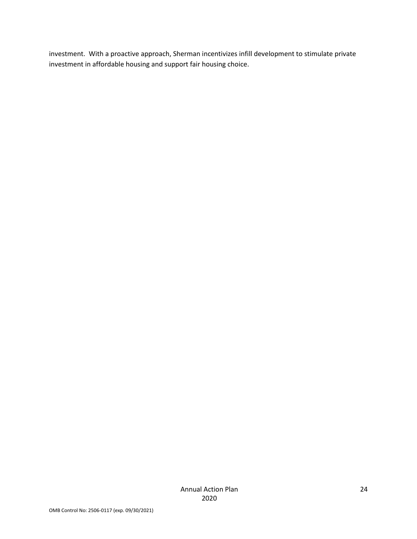investment. With a proactive approach, Sherman incentivizes infill development to stimulate private investment in affordable housing and support fair housing choice.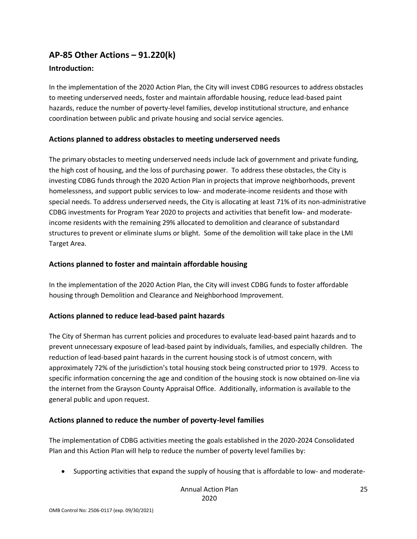#### <span id="page-24-0"></span>**AP-85 Other Actions – 91.220(k)**

#### **Introduction:**

In the implementation of the 2020 Action Plan, the City will invest CDBG resources to address obstacles to meeting underserved needs, foster and maintain affordable housing, reduce lead-based paint hazards, reduce the number of poverty-level families, develop institutional structure, and enhance coordination between public and private housing and social service agencies.

#### **Actions planned to address obstacles to meeting underserved needs**

The primary obstacles to meeting underserved needs include lack of government and private funding, the high cost of housing, and the loss of purchasing power. To address these obstacles, the City is investing CDBG funds through the 2020 Action Plan in projects that improve neighborhoods, prevent homelessness, and support public services to low- and moderate-income residents and those with special needs. To address underserved needs, the City is allocating at least 71% of its non-administrative CDBG investments for Program Year 2020 to projects and activities that benefit low- and moderateincome residents with the remaining 29% allocated to demolition and clearance of substandard structures to prevent or eliminate slums or blight. Some of the demolition will take place in the LMI Target Area.

#### **Actions planned to foster and maintain affordable housing**

In the implementation of the 2020 Action Plan, the City will invest CDBG funds to foster affordable housing through Demolition and Clearance and Neighborhood Improvement.

#### **Actions planned to reduce lead-based paint hazards**

The City of Sherman has current policies and procedures to evaluate lead-based paint hazards and to prevent unnecessary exposure of lead-based paint by individuals, families, and especially children. The reduction of lead-based paint hazards in the current housing stock is of utmost concern, with approximately 72% of the jurisdiction's total housing stock being constructed prior to 1979. Access to specific information concerning the age and condition of the housing stock is now obtained on-line via the internet from the Grayson County Appraisal Office. Additionally, information is available to the general public and upon request.

#### **Actions planned to reduce the number of poverty-level families**

The implementation of CDBG activities meeting the goals established in the 2020-2024 Consolidated Plan and this Action Plan will help to reduce the number of poverty level families by:

Supporting activities that expand the supply of housing that is affordable to low- and moderate-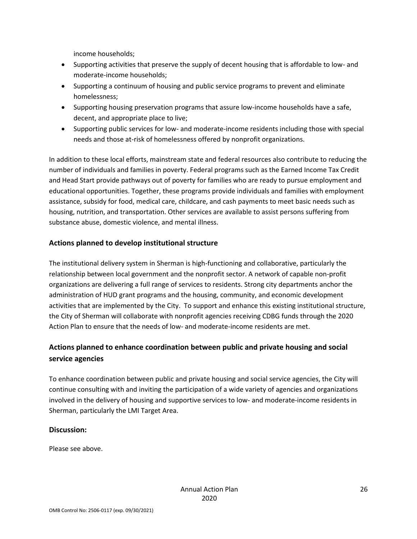income households;

- Supporting activities that preserve the supply of decent housing that is affordable to low- and moderate-income households;
- Supporting a continuum of housing and public service programs to prevent and eliminate homelessness;
- Supporting housing preservation programs that assure low-income households have a safe, decent, and appropriate place to live;
- Supporting public services for low- and moderate-income residents including those with special needs and those at-risk of homelessness offered by nonprofit organizations.

In addition to these local efforts, mainstream state and federal resources also contribute to reducing the number of individuals and families in poverty. Federal programs such as the Earned Income Tax Credit and Head Start provide pathways out of poverty for families who are ready to pursue employment and educational opportunities. Together, these programs provide individuals and families with employment assistance, subsidy for food, medical care, childcare, and cash payments to meet basic needs such as housing, nutrition, and transportation. Other services are available to assist persons suffering from substance abuse, domestic violence, and mental illness.

#### **Actions planned to develop institutional structure**

The institutional delivery system in Sherman is high-functioning and collaborative, particularly the relationship between local government and the nonprofit sector. A network of capable non-profit organizations are delivering a full range of services to residents. Strong city departments anchor the administration of HUD grant programs and the housing, community, and economic development activities that are implemented by the City. To support and enhance this existing institutional structure, the City of Sherman will collaborate with nonprofit agencies receiving CDBG funds through the 2020 Action Plan to ensure that the needs of low- and moderate-income residents are met.

#### **Actions planned to enhance coordination between public and private housing and social service agencies**

To enhance coordination between public and private housing and social service agencies, the City will continue consulting with and inviting the participation of a wide variety of agencies and organizations involved in the delivery of housing and supportive services to low- and moderate-income residents in Sherman, particularly the LMI Target Area.

#### **Discussion:**